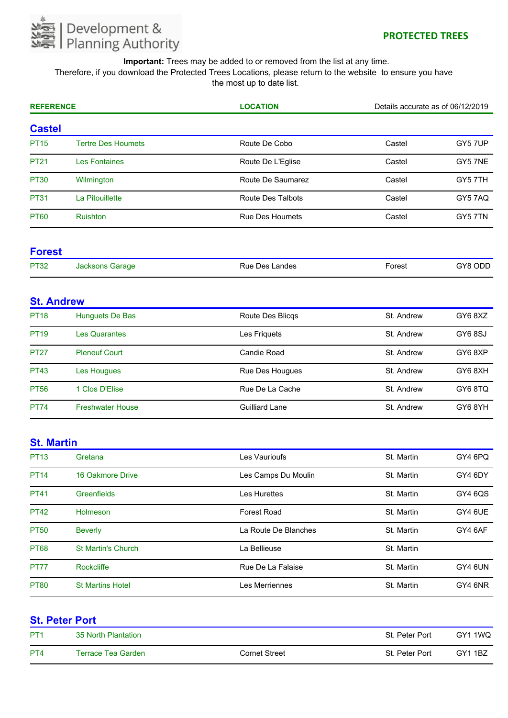

Therefore, if you download the Protected Trees Locations, please return to the website to ensure you have the most up to date list.

| <b>REFERENCE</b> |                           | <b>LOCATION</b>        | Details accurate as of 06/12/2019 |         |
|------------------|---------------------------|------------------------|-----------------------------------|---------|
| <b>Castel</b>    |                           |                        |                                   |         |
| <b>PT15</b>      | <b>Tertre Des Houmets</b> | Route De Cobo          | Castel                            | GY5 7UP |
| <b>PT21</b>      | <b>Les Fontaines</b>      | Route De L'Eglise      | Castel                            | GY5 7NE |
| <b>PT30</b>      | Wilmington                | Route De Saumarez      | Castel                            | GY5 7TH |
| <b>PT31</b>      | La Pitouillette           | Route Des Talbots      | Castel                            | GY57AQ  |
| <b>PT60</b>      | <b>Ruishton</b>           | <b>Rue Des Houmets</b> | Castel                            | GY5 7TN |

#### **Forest**

| <b>PT32</b> | Garage<br>ль<br>$\mathbf{r}$ | _andes<br>Rue<br>Des | orest | פ∨י<br>∟ש |
|-------------|------------------------------|----------------------|-------|-----------|

# **St. Andrew**

| <b>PT18</b> | Hunguets De Bas         | Route Des Blicgs       | St. Andrew | GY68XZ |
|-------------|-------------------------|------------------------|------------|--------|
| <b>PT19</b> | <b>Les Quarantes</b>    | Les Friguets           | St. Andrew | GY68SJ |
| <b>PT27</b> | <b>Pleneuf Court</b>    | Candie Road            | St. Andrew | GY68XP |
| <b>PT43</b> | Les Hougues             | <b>Rue Des Hougues</b> | St. Andrew | GY68XH |
| <b>PT56</b> | 1 Clos D'Elise          | Rue De La Cache        | St. Andrew | GY68TQ |
| <b>PT74</b> | <b>Freshwater House</b> | <b>Guilliard Lane</b>  | St. Andrew | GY68YH |

# **St. Martin**

| <b>PT13</b> | Gretana                   | Les Vaurioufs        | St. Martin | GY4 6PQ |
|-------------|---------------------------|----------------------|------------|---------|
| <b>PT14</b> | 16 Oakmore Drive          | Les Camps Du Moulin  | St. Martin | GY4 6DY |
| <b>PT41</b> | Greenfields               | Les Hurettes         | St. Martin | GY4 6QS |
| <b>PT42</b> | <b>Holmeson</b>           | <b>Forest Road</b>   | St. Martin | GY4 6UE |
| <b>PT50</b> | <b>Beverly</b>            | La Route De Blanches | St. Martin | GY4 6AF |
| <b>PT68</b> | <b>St Martin's Church</b> | La Bellieuse         | St. Martin |         |
| <b>PT77</b> | Rockcliffe                | Rue De La Falaise    | St. Martin | GY4 6UN |
| <b>PT80</b> | <b>St Martins Hotel</b>   | Les Merriennes       | St. Martin | GY4 6NR |

|                 | <b>St. Peter Port</b> |                      |                |                |  |
|-----------------|-----------------------|----------------------|----------------|----------------|--|
| PT <sub>1</sub> | 35 North Plantation   |                      | St. Peter Port | GY1 1WQ        |  |
| PT <sub>4</sub> | Terrace Tea Garden    | <b>Cornet Street</b> | St. Peter Port | <b>GY1 1BZ</b> |  |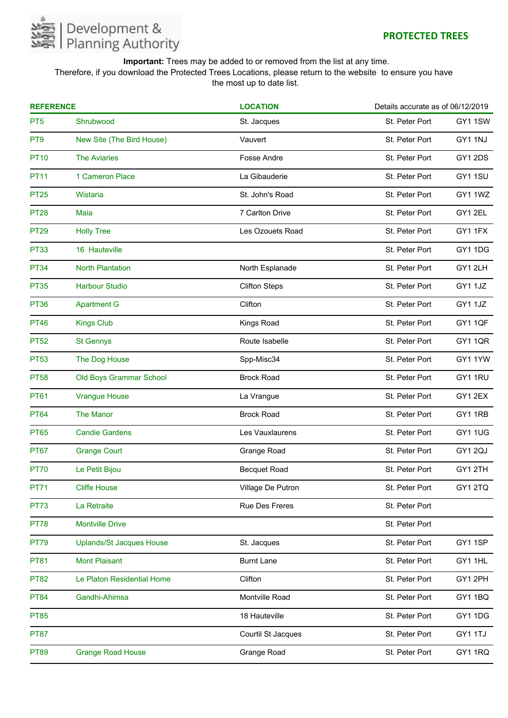

Therefore, if you download the Protected Trees Locations, please return to the website to ensure you have the most up to date list.

| <b>REFERENCE</b> |                                 | <b>LOCATION</b>       | Details accurate as of 06/12/2019 |                |
|------------------|---------------------------------|-----------------------|-----------------------------------|----------------|
| PT <sub>5</sub>  | Shrubwood                       | St. Jacques           | St. Peter Port                    | GY11SW         |
| PT <sub>9</sub>  | New Site (The Bird House)       | Vauvert               | St. Peter Port                    | GY1 1NJ        |
| <b>PT10</b>      | <b>The Aviaries</b>             | <b>Fosse Andre</b>    | St. Peter Port                    | GY1 2DS        |
| <b>PT11</b>      | 1 Cameron Place                 | La Gibauderie         | St. Peter Port                    | GY11SU         |
| <b>PT25</b>      | Wistaria                        | St. John's Road       | St. Peter Port                    | GY1 1WZ        |
| <b>PT28</b>      | Maia                            | 7 Carlton Drive       | St. Peter Port                    | GY1 2EL        |
| <b>PT29</b>      | <b>Holly Tree</b>               | Les Ozouets Road      | St. Peter Port                    | GY1 1FX        |
| <b>PT33</b>      | 16 Hauteville                   |                       | St. Peter Port                    | GY11DG         |
| <b>PT34</b>      | <b>North Plantation</b>         | North Esplanade       | St. Peter Port                    | GY12LH         |
| <b>PT35</b>      | <b>Harbour Studio</b>           | <b>Clifton Steps</b>  | St. Peter Port                    | GY1 1JZ        |
| <b>PT36</b>      | <b>Apartment G</b>              | Clifton               | St. Peter Port                    | GY1 1JZ        |
| <b>PT46</b>      | <b>Kings Club</b>               | Kings Road            | St. Peter Port                    | <b>GY1 1QF</b> |
| <b>PT52</b>      | <b>St Gennys</b>                | Route Isabelle        | St. Peter Port                    | <b>GY11QR</b>  |
| <b>PT53</b>      | The Dog House                   | Spp-Misc34            | St. Peter Port                    | GY1 1YW        |
| <b>PT58</b>      | Old Boys Grammar School         | <b>Brock Road</b>     | St. Peter Port                    | GY1 1RU        |
| <b>PT61</b>      | <b>Vrangue House</b>            | La Vrangue            | St. Peter Port                    | GY12EX         |
| <b>PT64</b>      | <b>The Manor</b>                | <b>Brock Road</b>     | St. Peter Port                    | GY1 1RB        |
| <b>PT65</b>      | <b>Candie Gardens</b>           | Les Vauxlaurens       | St. Peter Port                    | <b>GY11UG</b>  |
| <b>PT67</b>      | <b>Grange Court</b>             | Grange Road           | St. Peter Port                    | GY12QJ         |
| <b>PT70</b>      | Le Petit Bijou                  | <b>Becquet Road</b>   | St. Peter Port                    | GY12TH         |
| <b>PT71</b>      | <b>Cliffe House</b>             | Village De Putron     | St. Peter Port                    | GY12TQ         |
| <b>PT73</b>      | La Retraite                     | <b>Rue Des Freres</b> | St. Peter Port                    |                |
| <b>PT78</b>      | <b>Montville Drive</b>          |                       | St. Peter Port                    |                |
| <b>PT79</b>      | <b>Uplands/St Jacques House</b> | St. Jacques           | St. Peter Port                    | GY1 1SP        |
| <b>PT81</b>      | <b>Mont Plaisant</b>            | <b>Burnt Lane</b>     | St. Peter Port                    | GY1 1HL        |
| <b>PT82</b>      | Le Platon Residential Home      | Clifton               | St. Peter Port                    | GY12PH         |
| <b>PT84</b>      | Gandhi-Ahimsa                   | Montville Road        | St. Peter Port                    | GY11BQ         |
| <b>PT85</b>      |                                 | 18 Hauteville         | St. Peter Port                    | GY1 1DG        |
| <b>PT87</b>      |                                 | Courtil St Jacques    | St. Peter Port                    | GY1 1TJ        |
| <b>PT89</b>      | <b>Grange Road House</b>        | Grange Road           | St. Peter Port                    | GY1 1RQ        |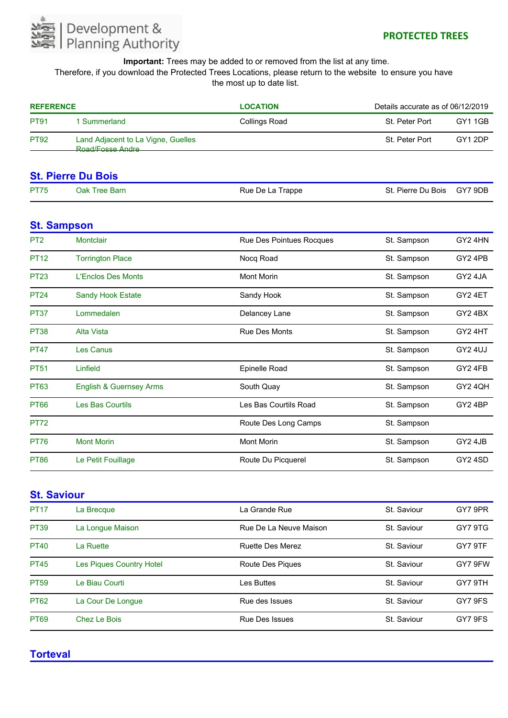

Therefore, if you download the Protected Trees Locations, please return to the website to ensure you have the most up to date list.

| <b>REFERENCE</b> |                                                                                   | <b>LOCATION</b> | Details accurate as of 06/12/2019 |         |
|------------------|-----------------------------------------------------------------------------------|-----------------|-----------------------------------|---------|
| <b>PT91</b>      | 1 Summerland                                                                      | Collings Road   | St. Peter Port                    | GY1 1GB |
| <b>PT92</b>      | Land Adjacent to La Vigne, Guelles<br>Road/Eosse Andre<br>_______________________ |                 | St. Peter Port                    | GY12DP  |

### **St. Pierre Du Bois**

| <b>PT75</b> | Oak Tree Barn | St. Pierre Du Bois GY7 9DB<br>Rue De La Trappe |  |
|-------------|---------------|------------------------------------------------|--|
|-------------|---------------|------------------------------------------------|--|

#### **St. Sampson**

| P <sub>T2</sub> | <b>Montclair</b>                   | Rue Des Pointues Rocques | St. Sampson | GY2 4HN |
|-----------------|------------------------------------|--------------------------|-------------|---------|
| <b>PT12</b>     | <b>Torrington Place</b>            | Nocq Road                | St. Sampson | GY2 4PB |
| <b>PT23</b>     | L'Enclos Des Monts                 | <b>Mont Morin</b>        | St. Sampson | GY2 4JA |
| <b>PT24</b>     | <b>Sandy Hook Estate</b>           | Sandy Hook               | St. Sampson | GY24ET  |
| <b>PT37</b>     | Lommedalen                         | Delancey Lane            | St. Sampson | GY24BX  |
| <b>PT38</b>     | Alta Vista                         | <b>Rue Des Monts</b>     | St. Sampson | GY2 4HT |
| <b>PT47</b>     | <b>Les Canus</b>                   |                          | St. Sampson | GY2 4UJ |
| <b>PT51</b>     | Linfield                           | Epinelle Road            | St. Sampson | GY2 4FB |
| <b>PT63</b>     | <b>English &amp; Guernsey Arms</b> | South Quay               | St. Sampson | GY2 4QH |
| <b>PT66</b>     | <b>Les Bas Courtils</b>            | Les Bas Courtils Road    | St. Sampson | GY24BP  |
| <b>PT72</b>     |                                    | Route Des Long Camps     | St. Sampson |         |
| <b>PT76</b>     | <b>Mont Morin</b>                  | <b>Mont Morin</b>        | St. Sampson | GY2 4JB |
| <b>PT86</b>     | Le Petit Fouillage                 | Route Du Picquerel       | St. Sampson | GY2 4SD |

# **St. Saviour**

| <b>PT17</b> | La Brecque                      | La Grande Rue           | St. Saviour | GY7 9PR |
|-------------|---------------------------------|-------------------------|-------------|---------|
| <b>PT39</b> | La Longue Maison                | Rue De La Neuve Maison  | St. Saviour | GY7 9TG |
| <b>PT40</b> | La Ruette                       | <b>Ruette Des Merez</b> | St. Saviour | GY7 9TF |
| <b>PT45</b> | <b>Les Piques Country Hotel</b> | Route Des Piques        | St. Saviour | GY7 9FW |
| <b>PT59</b> | Le Biau Courti                  | Les Buttes              | St. Saviour | GY7 9TH |
| <b>PT62</b> | La Cour De Lonque               | Rue des Issues          | St. Saviour | GY7 9FS |
| <b>PT69</b> | Chez Le Bois                    | <b>Rue Des Issues</b>   | St. Saviour | GY7 9FS |

### **Torteval**